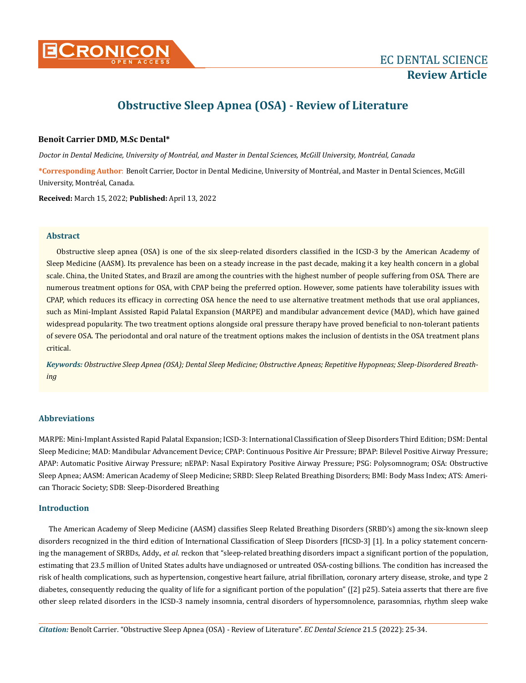

# **Obstructive Sleep Apnea (OSA) - Review of Literature**

# **Benoît Carrier DMD, M.Sc Dental\***

*Doctor in Dental Medicine, University of Montréal, and Master in Dental Sciences, McGill University, Montréal, Canada*

**\*Corresponding Author**: Benoît Carrier, Doctor in Dental Medicine, University of Montréal, and Master in Dental Sciences, McGill University, Montréal, Canada.

**Received:** March 15, 2022; **Published:** April 13, 2022

## **Abstract**

Obstructive sleep apnea (OSA) is one of the six sleep-related disorders classified in the ICSD-3 by the American Academy of Sleep Medicine (AASM). Its prevalence has been on a steady increase in the past decade, making it a key health concern in a global scale. China, the United States, and Brazil are among the countries with the highest number of people suffering from OSA. There are numerous treatment options for OSA, with CPAP being the preferred option. However, some patients have tolerability issues with CPAP, which reduces its efficacy in correcting OSA hence the need to use alternative treatment methods that use oral appliances, such as Mini-Implant Assisted Rapid Palatal Expansion (MARPE) and mandibular advancement device (MAD), which have gained widespread popularity. The two treatment options alongside oral pressure therapy have proved beneficial to non-tolerant patients of severe OSA. The periodontal and oral nature of the treatment options makes the inclusion of dentists in the OSA treatment plans critical.

*Keywords: Obstructive Sleep Apnea (OSA); Dental Sleep Medicine; Obstructive Apneas; Repetitive Hypopneas; Sleep-Disordered Breathing*

# **Abbreviations**

MARPE: Mini-Implant Assisted Rapid Palatal Expansion; ICSD-3: International Classification of Sleep Disorders Third Edition; DSM: Dental Sleep Medicine; MAD: Mandibular Advancement Device; CPAP: Continuous Positive Air Pressure; BPAP: Bilevel Positive Airway Pressure; APAP: Automatic Positive Airway Pressure; nEPAP: Nasal Expiratory Positive Airway Pressure; PSG: Polysomnogram; OSA: Obstructive Sleep Apnea; AASM: American Academy of Sleep Medicine; SRBD: Sleep Related Breathing Disorders; BMI: Body Mass Index; ATS: American Thoracic Society; SDB: Sleep-Disordered Breathing

# **Introduction**

The American Academy of Sleep Medicine (AASM) classifies Sleep Related Breathing Disorders (SRBD's) among the six-known sleep disorders recognized in the third edition of International Classification of Sleep Disorders [fICSD-3] [1]. In a policy statement concerning the management of SRBDs, Addy., *et al*. reckon that "sleep-related breathing disorders impact a significant portion of the population, estimating that 23.5 million of United States adults have undiagnosed or untreated OSA-costing billions. The condition has increased the risk of health complications, such as hypertension, congestive heart failure, atrial fibrillation, coronary artery disease, stroke, and type 2 diabetes, consequently reducing the quality of life for a significant portion of the population" ([2] p25). Sateia asserts that there are five other sleep related disorders in the ICSD-3 namely insomnia, central disorders of hypersomnolence, parasomnias, rhythm sleep wake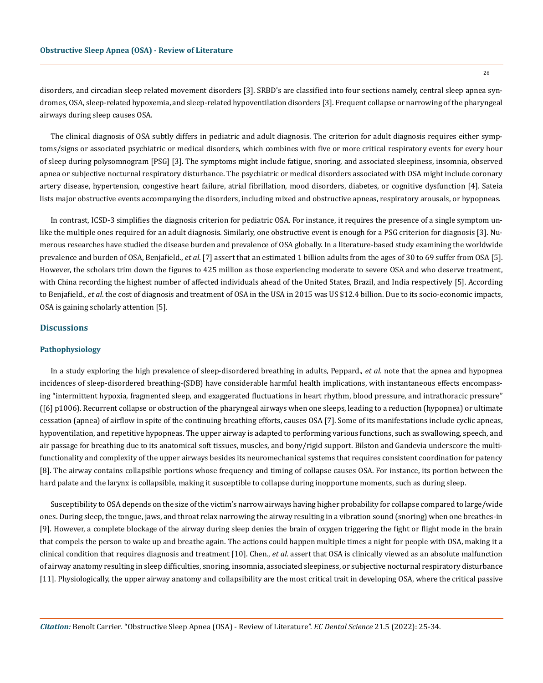disorders, and circadian sleep related movement disorders [3]. SRBD's are classified into four sections namely, central sleep apnea syndromes, OSA, sleep-related hypoxemia, and sleep-related hypoventilation disorders [3]. Frequent collapse or narrowing of the pharyngeal airways during sleep causes OSA.

The clinical diagnosis of OSA subtly differs in pediatric and adult diagnosis. The criterion for adult diagnosis requires either symptoms/signs or associated psychiatric or medical disorders, which combines with five or more critical respiratory events for every hour of sleep during polysomnogram [PSG] [3]. The symptoms might include fatigue, snoring, and associated sleepiness, insomnia, observed apnea or subjective nocturnal respiratory disturbance. The psychiatric or medical disorders associated with OSA might include coronary artery disease, hypertension, congestive heart failure, atrial fibrillation, mood disorders, diabetes, or cognitive dysfunction [4]. Sateia lists major obstructive events accompanying the disorders, including mixed and obstructive apneas, respiratory arousals, or hypopneas.

In contrast, ICSD-3 simplifies the diagnosis criterion for pediatric OSA. For instance, it requires the presence of a single symptom unlike the multiple ones required for an adult diagnosis. Similarly, one obstructive event is enough for a PSG criterion for diagnosis [3]. Numerous researches have studied the disease burden and prevalence of OSA globally. In a literature-based study examining the worldwide prevalence and burden of OSA, Benjafield., *et al*. [7] assert that an estimated 1 billion adults from the ages of 30 to 69 suffer from OSA [5]. However, the scholars trim down the figures to 425 million as those experiencing moderate to severe OSA and who deserve treatment, with China recording the highest number of affected individuals ahead of the United States, Brazil, and India respectively [5]. According to Benjafield., *et al*. the cost of diagnosis and treatment of OSA in the USA in 2015 was US \$12.4 billion. Due to its socio-economic impacts, OSA is gaining scholarly attention [5].

## **Discussions**

### **Pathophysiology**

In a study exploring the high prevalence of sleep-disordered breathing in adults, Peppard., *et al*. note that the apnea and hypopnea incidences of sleep-disordered breathing-(SDB) have considerable harmful health implications, with instantaneous effects encompassing "intermittent hypoxia, fragmented sleep, and exaggerated fluctuations in heart rhythm, blood pressure, and intrathoracic pressure" ([6] p1006). Recurrent collapse or obstruction of the pharyngeal airways when one sleeps, leading to a reduction (hypopnea) or ultimate cessation (apnea) of airflow in spite of the continuing breathing efforts, causes OSA [7]. Some of its manifestations include cyclic apneas, hypoventilation, and repetitive hypopneas. The upper airway is adapted to performing various functions, such as swallowing, speech, and air passage for breathing due to its anatomical soft tissues, muscles, and bony/rigid support. Bilston and Gandevia underscore the multifunctionality and complexity of the upper airways besides its neuromechanical systems that requires consistent coordination for patency [8]. The airway contains collapsible portions whose frequency and timing of collapse causes OSA. For instance, its portion between the hard palate and the larynx is collapsible, making it susceptible to collapse during inopportune moments, such as during sleep.

Susceptibility to OSA depends on the size of the victim's narrow airways having higher probability for collapse compared to large/wide ones. During sleep, the tongue, jaws, and throat relax narrowing the airway resulting in a vibration sound (snoring) when one breathes-in [9]. However, a complete blockage of the airway during sleep denies the brain of oxygen triggering the fight or flight mode in the brain that compels the person to wake up and breathe again. The actions could happen multiple times a night for people with OSA, making it a clinical condition that requires diagnosis and treatment [10]. Chen., *et al*. assert that OSA is clinically viewed as an absolute malfunction of airway anatomy resulting in sleep difficulties, snoring, insomnia, associated sleepiness, or subjective nocturnal respiratory disturbance [11]. Physiologically, the upper airway anatomy and collapsibility are the most critical trait in developing OSA, where the critical passive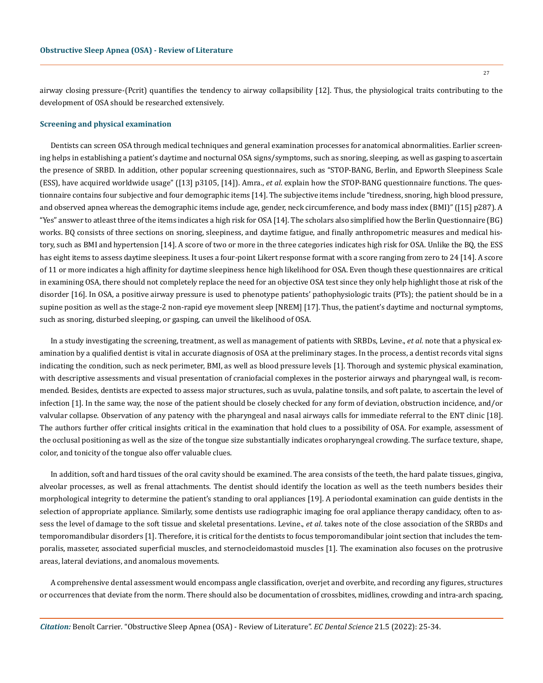airway closing pressure-(Pcrit) quantifies the tendency to airway collapsibility [12]. Thus, the physiological traits contributing to the development of OSA should be researched extensively.

#### **Screening and physical examination**

Dentists can screen OSA through medical techniques and general examination processes for anatomical abnormalities. Earlier screening helps in establishing a patient's daytime and nocturnal OSA signs/symptoms, such as snoring, sleeping, as well as gasping to ascertain the presence of SRBD. In addition, other popular screening questionnaires, such as "STOP-BANG, Berlin, and Epworth Sleepiness Scale (ESS), have acquired worldwide usage" ([13] p3105, [14]). Amra., *et al*. explain how the STOP-BANG questionnaire functions. The questionnaire contains four subjective and four demographic items [14]. The subjective items include "tiredness, snoring, high blood pressure, and observed apnea whereas the demographic items include age, gender, neck circumference, and body mass index (BMI)" ([15] p287). A "Yes" answer to atleast three of the items indicates a high risk for OSA [14]. The scholars also simplified how the Berlin Questionnaire (BG) works. BQ consists of three sections on snoring, sleepiness, and daytime fatigue, and finally anthropometric measures and medical history, such as BMI and hypertension [14]. A score of two or more in the three categories indicates high risk for OSA. Unlike the BQ, the ESS has eight items to assess daytime sleepiness. It uses a four-point Likert response format with a score ranging from zero to 24 [14]. A score of 11 or more indicates a high affinity for daytime sleepiness hence high likelihood for OSA. Even though these questionnaires are critical in examining OSA, there should not completely replace the need for an objective OSA test since they only help highlight those at risk of the disorder [16]. In OSA, a positive airway pressure is used to phenotype patients' pathophysiologic traits (PTs); the patient should be in a supine position as well as the stage-2 non-rapid eye movement sleep [NREM] [17]. Thus, the patient's daytime and nocturnal symptoms, such as snoring, disturbed sleeping, or gasping, can unveil the likelihood of OSA.

In a study investigating the screening, treatment, as well as management of patients with SRBDs, Levine., *et al*. note that a physical examination by a qualified dentist is vital in accurate diagnosis of OSA at the preliminary stages. In the process, a dentist records vital signs indicating the condition, such as neck perimeter, BMI, as well as blood pressure levels [1]. Thorough and systemic physical examination, with descriptive assessments and visual presentation of craniofacial complexes in the posterior airways and pharyngeal wall, is recommended. Besides, dentists are expected to assess major structures, such as uvula, palatine tonsils, and soft palate, to ascertain the level of infection [1]. In the same way, the nose of the patient should be closely checked for any form of deviation, obstruction incidence, and/or valvular collapse. Observation of any patency with the pharyngeal and nasal airways calls for immediate referral to the ENT clinic [18]. The authors further offer critical insights critical in the examination that hold clues to a possibility of OSA. For example, assessment of the occlusal positioning as well as the size of the tongue size substantially indicates oropharyngeal crowding. The surface texture, shape, color, and tonicity of the tongue also offer valuable clues.

In addition, soft and hard tissues of the oral cavity should be examined. The area consists of the teeth, the hard palate tissues, gingiva, alveolar processes, as well as frenal attachments. The dentist should identify the location as well as the teeth numbers besides their morphological integrity to determine the patient's standing to oral appliances [19]. A periodontal examination can guide dentists in the selection of appropriate appliance. Similarly, some dentists use radiographic imaging foe oral appliance therapy candidacy, often to assess the level of damage to the soft tissue and skeletal presentations. Levine., *et al*. takes note of the close association of the SRBDs and temporomandibular disorders [1]. Therefore, it is critical for the dentists to focus temporomandibular joint section that includes the temporalis, masseter, associated superficial muscles, and sternocleidomastoid muscles [1]. The examination also focuses on the protrusive areas, lateral deviations, and anomalous movements.

A comprehensive dental assessment would encompass angle classification, overjet and overbite, and recording any figures, structures or occurrences that deviate from the norm. There should also be documentation of crossbites, midlines, crowding and intra-arch spacing,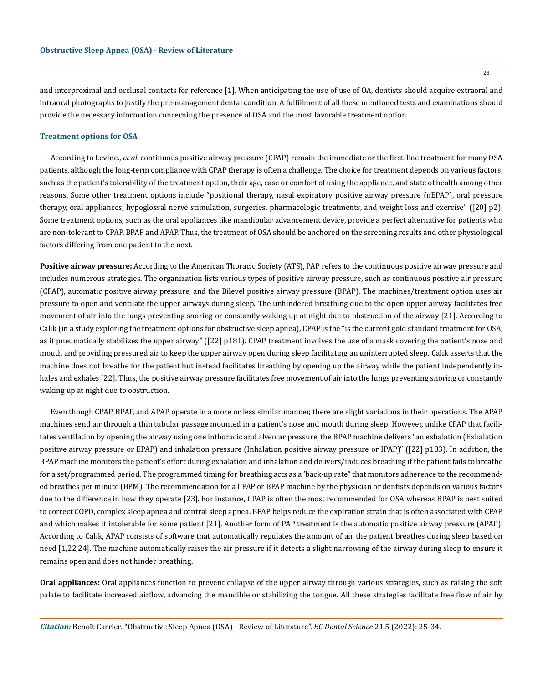and interproximal and occlusal contacts for reference [1]. When anticipating the use of use of OA, dentists should acquire extraoral and intraoral photographs to justify the pre-management dental condition. A fulfillment of all these mentioned tests and examinations should provide the necessary information concerning the presence of OSA and the most favorable treatment option.

#### **Treatment options for OSA**

According to Levine., *et al*. continuous positive airway pressure (CPAP) remain the immediate or the first-line treatment for many OSA patients, although the long-term compliance with CPAP therapy is often a challenge. The choice for treatment depends on various factors, such as the patient's tolerability of the treatment option, their age, ease or comfort of using the appliance, and state of health among other reasons. Some other treatment options include "positional therapy, nasal expiratory positive airway pressure (nEPAP), oral pressure therapy, oral appliances, hypoglossal nerve stimulation, surgeries, pharmacologic treatments, and weight loss and exercise" ([20] p2). Some treatment options, such as the oral appliances like mandibular advancement device, provide a perfect alternative for patients who are non-tolerant to CPAP, BPAP and APAP. Thus, the treatment of OSA should be anchored on the screening results and other physiological factors differing from one patient to the next.

**Positive airway pressure:** According to the American Thoracic Society (ATS), PAP refers to the continuous positive airway pressure and includes numerous strategies. The organization lists various types of positive airway pressure, such as continuous positive air pressure (CPAP), automatic positive airway pressure, and the Bilevel positive airway pressure (BPAP). The machines/treatment option uses air pressure to open and ventilate the upper airways during sleep. The unhindered breathing due to the open upper airway facilitates free movement of air into the lungs preventing snoring or constantly waking up at night due to obstruction of the airway [21]. According to Calik (in a study exploring the treatment options for obstructive sleep apnea), CPAP is the "is the current gold standard treatment for OSA, as it pneumatically stabilizes the upper airway" ([22] p181). CPAP treatment involves the use of a mask covering the patient's nose and mouth and providing pressured air to keep the upper airway open during sleep facilitating an uninterrupted sleep. Calik asserts that the machine does not breathe for the patient but instead facilitates breathing by opening up the airway while the patient independently inhales and exhales [22]. Thus, the positive airway pressure facilitates free movement of air into the lungs preventing snoring or constantly waking up at night due to obstruction.

Even though CPAP, BPAP, and APAP operate in a more or less similar manner, there are slight variations in their operations. The APAP machines send air through a thin tubular passage mounted in a patient's nose and mouth during sleep. However, unlike CPAP that facilitates ventilation by opening the airway using one inthoracic and alveolar pressure, the BPAP machine delivers "an exhalation (Exhalation positive airway pressure or EPAP) and inhalation pressure (Inhalation positive airway pressure or IPAP)" ([22] p183). In addition, the BPAP machine monitors the patient's effort during exhalation and inhalation and delivers/induces breathing if the patient fails to breathe for a set/programmed period. The programmed timing for breathing acts as a 'back-up rate" that monitors adherence to the recommended breathes per minute (BPM). The recommendation for a CPAP or BPAP machine by the physician or dentists depends on various factors due to the difference in how they operate [23]. For instance, CPAP is often the most recommended for OSA whereas BPAP is best suited to correct COPD, complex sleep apnea and central sleep apnea. BPAP helps reduce the expiration strain that is often associated with CPAP and which makes it intolerable for some patient [21]. Another form of PAP treatment is the automatic positive airway pressure (APAP). According to Calik, APAP consists of software that automatically regulates the amount of air the patient breathes during sleep based on need [1,22,24]. The machine automatically raises the air pressure if it detects a slight narrowing of the airway during sleep to ensure it remains open and does not hinder breathing.

**Oral appliances:** Oral appliances function to prevent collapse of the upper airway through various strategies, such as raising the soft palate to facilitate increased airflow, advancing the mandible or stabilizing the tongue. All these strategies facilitate free flow of air by

*Citation:* Benoît Carrier*.* "Obstructive Sleep Apnea (OSA) - Review of Literature". *EC Dental Science* 21.5 (2022): 25-34.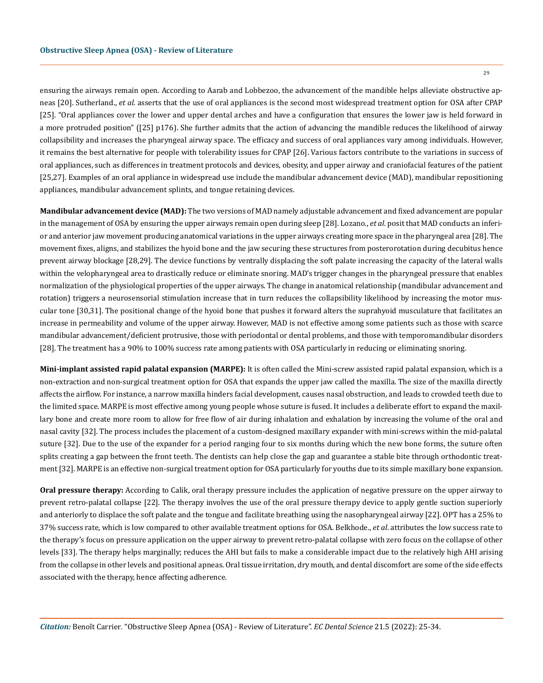ensuring the airways remain open. According to Aarab and Lobbezoo, the advancement of the mandible helps alleviate obstructive apneas [20]. Sutherland., *et al*. asserts that the use of oral appliances is the second most widespread treatment option for OSA after CPAP [25]. "Oral appliances cover the lower and upper dental arches and have a configuration that ensures the lower jaw is held forward in a more protruded position" ([25] p176). She further admits that the action of advancing the mandible reduces the likelihood of airway collapsibility and increases the pharyngeal airway space. The efficacy and success of oral appliances vary among individuals. However, it remains the best alternative for people with tolerability issues for CPAP [26]. Various factors contribute to the variations in success of oral appliances, such as differences in treatment protocols and devices, obesity, and upper airway and craniofacial features of the patient [25,27]. Examples of an oral appliance in widespread use include the mandibular advancement device (MAD), mandibular repositioning appliances, mandibular advancement splints, and tongue retaining devices.

**Mandibular advancement device (MAD):** The two versions of MAD namely adjustable advancement and fixed advancement are popular in the management of OSA by ensuring the upper airways remain open during sleep [28]. Lozano., *et al*. posit that MAD conducts an inferior and anterior jaw movement producing anatomical variations in the upper airways creating more space in the pharyngeal area [28]. The movement fixes, aligns, and stabilizes the hyoid bone and the jaw securing these structures from posterorotation during decubitus hence prevent airway blockage [28,29]. The device functions by ventrally displacing the soft palate increasing the capacity of the lateral walls within the velopharyngeal area to drastically reduce or eliminate snoring. MAD's trigger changes in the pharyngeal pressure that enables normalization of the physiological properties of the upper airways. The change in anatomical relationship (mandibular advancement and rotation) triggers a neurosensorial stimulation increase that in turn reduces the collapsibility likelihood by increasing the motor muscular tone [30,31]. The positional change of the hyoid bone that pushes it forward alters the suprahyoid musculature that facilitates an increase in permeability and volume of the upper airway. However, MAD is not effective among some patients such as those with scarce mandibular advancement/deficient protrusive, those with periodontal or dental problems, and those with temporomandibular disorders [28]. The treatment has a 90% to 100% success rate among patients with OSA particularly in reducing or eliminating snoring.

**Mini-implant assisted rapid palatal expansion (MARPE):** It is often called the Mini-screw assisted rapid palatal expansion, which is a non-extraction and non-surgical treatment option for OSA that expands the upper jaw called the maxilla. The size of the maxilla directly affects the airflow. For instance, a narrow maxilla hinders facial development, causes nasal obstruction, and leads to crowded teeth due to the limited space. MARPE is most effective among young people whose suture is fused. It includes a deliberate effort to expand the maxillary bone and create more room to allow for free flow of air during inhalation and exhalation by increasing the volume of the oral and nasal cavity [32]. The process includes the placement of a custom-designed maxillary expander with mini-screws within the mid-palatal suture [32]. Due to the use of the expander for a period ranging four to six months during which the new bone forms, the suture often splits creating a gap between the front teeth. The dentists can help close the gap and guarantee a stable bite through orthodontic treatment [32]. MARPE is an effective non-surgical treatment option for OSA particularly for youths due to its simple maxillary bone expansion.

**Oral pressure therapy:** According to Calik, oral therapy pressure includes the application of negative pressure on the upper airway to prevent retro-palatal collapse [22]. The therapy involves the use of the oral pressure therapy device to apply gentle suction superiorly and anteriorly to displace the soft palate and the tongue and facilitate breathing using the nasopharyngeal airway [22]. OPT has a 25% to 37% success rate, which is low compared to other available treatment options for OSA. Belkhode., *et al*. attributes the low success rate to the therapy's focus on pressure application on the upper airway to prevent retro-palatal collapse with zero focus on the collapse of other levels [33]. The therapy helps marginally; reduces the AHI but fails to make a considerable impact due to the relatively high AHI arising from the collapse in other levels and positional apneas. Oral tissue irritation, dry mouth, and dental discomfort are some of the side effects associated with the therapy, hence affecting adherence.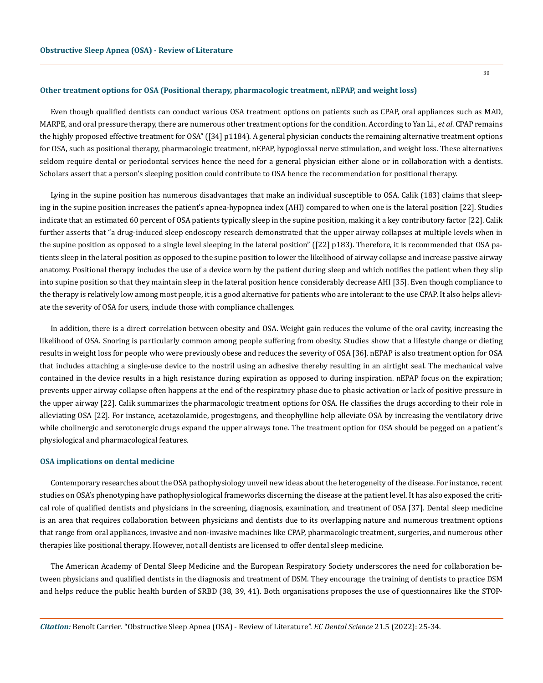#### **Other treatment options for OSA (Positional therapy, pharmacologic treatment, nEPAP, and weight loss)**

Even though qualified dentists can conduct various OSA treatment options on patients such as CPAP, oral appliances such as MAD, MARPE, and oral pressure therapy, there are numerous other treatment options for the condition. According to Yan Li., *et al*. CPAP remains the highly proposed effective treatment for OSA" ([34] p1184). A general physician conducts the remaining alternative treatment options for OSA, such as positional therapy, pharmacologic treatment, nEPAP, hypoglossal nerve stimulation, and weight loss. These alternatives seldom require dental or periodontal services hence the need for a general physician either alone or in collaboration with a dentists. Scholars assert that a person's sleeping position could contribute to OSA hence the recommendation for positional therapy.

Lying in the supine position has numerous disadvantages that make an individual susceptible to OSA. Calik (183) claims that sleeping in the supine position increases the patient's apnea-hypopnea index (AHI) compared to when one is the lateral position [22]. Studies indicate that an estimated 60 percent of OSA patients typically sleep in the supine position, making it a key contributory factor [22]. Calik further asserts that "a drug-induced sleep endoscopy research demonstrated that the upper airway collapses at multiple levels when in the supine position as opposed to a single level sleeping in the lateral position" ([22] p183). Therefore, it is recommended that OSA patients sleep in the lateral position as opposed to the supine position to lower the likelihood of airway collapse and increase passive airway anatomy. Positional therapy includes the use of a device worn by the patient during sleep and which notifies the patient when they slip into supine position so that they maintain sleep in the lateral position hence considerably decrease AHI [35]. Even though compliance to the therapy is relatively low among most people, it is a good alternative for patients who are intolerant to the use CPAP. It also helps alleviate the severity of OSA for users, include those with compliance challenges.

In addition, there is a direct correlation between obesity and OSA. Weight gain reduces the volume of the oral cavity, increasing the likelihood of OSA. Snoring is particularly common among people suffering from obesity. Studies show that a lifestyle change or dieting results in weight loss for people who were previously obese and reduces the severity of OSA [36]. nEPAP is also treatment option for OSA that includes attaching a single-use device to the nostril using an adhesive thereby resulting in an airtight seal. The mechanical valve contained in the device results in a high resistance during expiration as opposed to during inspiration. nEPAP focus on the expiration; prevents upper airway collapse often happens at the end of the respiratory phase due to phasic activation or lack of positive pressure in the upper airway [22]. Calik summarizes the pharmacologic treatment options for OSA. He classifies the drugs according to their role in alleviating OSA [22]. For instance, acetazolamide, progestogens, and theophylline help alleviate OSA by increasing the ventilatory drive while cholinergic and serotonergic drugs expand the upper airways tone. The treatment option for OSA should be pegged on a patient's physiological and pharmacological features.

#### **OSA implications on dental medicine**

Contemporary researches about the OSA pathophysiology unveil new ideas about the heterogeneity of the disease. For instance, recent studies on OSA's phenotyping have pathophysiological frameworks discerning the disease at the patient level. It has also exposed the critical role of qualified dentists and physicians in the screening, diagnosis, examination, and treatment of OSA [37]. Dental sleep medicine is an area that requires collaboration between physicians and dentists due to its overlapping nature and numerous treatment options that range from oral appliances, invasive and non-invasive machines like CPAP, pharmacologic treatment, surgeries, and numerous other therapies like positional therapy. However, not all dentists are licensed to offer dental sleep medicine.

The American Academy of Dental Sleep Medicine and the European Respiratory Society underscores the need for collaboration between physicians and qualified dentists in the diagnosis and treatment of DSM. They encourage the training of dentists to practice DSM and helps reduce the public health burden of SRBD (38, 39, 41). Both organisations proposes the use of questionnaires like the STOP-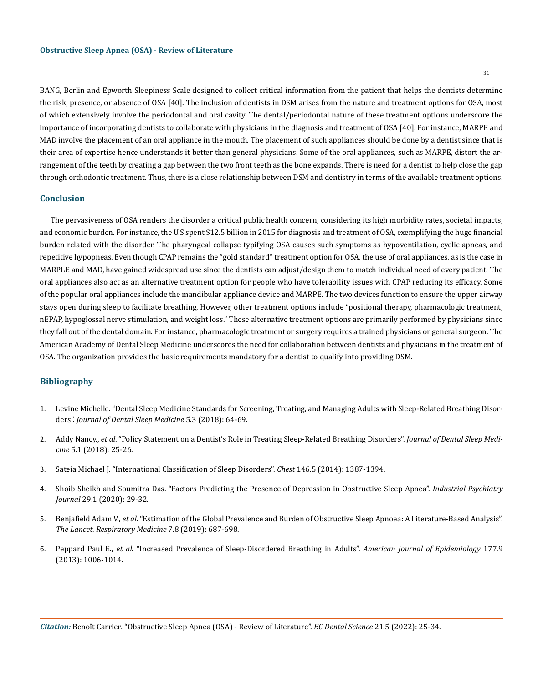BANG, Berlin and Epworth Sleepiness Scale designed to collect critical information from the patient that helps the dentists determine the risk, presence, or absence of OSA [40]. The inclusion of dentists in DSM arises from the nature and treatment options for OSA, most of which extensively involve the periodontal and oral cavity. The dental/periodontal nature of these treatment options underscore the importance of incorporating dentists to collaborate with physicians in the diagnosis and treatment of OSA [40]. For instance, MARPE and MAD involve the placement of an oral appliance in the mouth. The placement of such appliances should be done by a dentist since that is their area of expertise hence understands it better than general physicians. Some of the oral appliances, such as MARPE, distort the arrangement of the teeth by creating a gap between the two front teeth as the bone expands. There is need for a dentist to help close the gap through orthodontic treatment. Thus, there is a close relationship between DSM and dentistry in terms of the available treatment options.

## **Conclusion**

The pervasiveness of OSA renders the disorder a critical public health concern, considering its high morbidity rates, societal impacts, and economic burden. For instance, the U.S spent \$12.5 billion in 2015 for diagnosis and treatment of OSA, exemplifying the huge financial burden related with the disorder. The pharyngeal collapse typifying OSA causes such symptoms as hypoventilation, cyclic apneas, and repetitive hypopneas. Even though CPAP remains the "gold standard" treatment option for OSA, the use of oral appliances, as is the case in MARPLE and MAD, have gained widespread use since the dentists can adjust/design them to match individual need of every patient. The oral appliances also act as an alternative treatment option for people who have tolerability issues with CPAP reducing its efficacy. Some of the popular oral appliances include the mandibular appliance device and MARPE. The two devices function to ensure the upper airway stays open during sleep to facilitate breathing. However, other treatment options include "positional therapy, pharmacologic treatment, nEPAP, hypoglossal nerve stimulation, and weight loss." These alternative treatment options are primarily performed by physicians since they fall out of the dental domain. For instance, pharmacologic treatment or surgery requires a trained physicians or general surgeon. The American Academy of Dental Sleep Medicine underscores the need for collaboration between dentists and physicians in the treatment of OSA. The organization provides the basic requirements mandatory for a dentist to qualify into providing DSM.

# **Bibliography**

- 1. [Levine Michelle. "Dental Sleep Medicine Standards for Screening, Treating, and Managing Adults with Sleep-Related Breathing Disor](https://www.aadsm.org/docs/JDSM_-_Standard_for_Practice_DRAFT.pdf)ders". *[Journal of Dental Sleep Medicine](https://www.aadsm.org/docs/JDSM_-_Standard_for_Practice_DRAFT.pdf)* 5.3 (2018): 64-69.
- 2. Addy Nancy., *et al*[. "Policy Statement on a Dentist's Role in Treating Sleep-Related Breathing Disorders".](https://aadsm.org/docs/Policy_statement_on_role_of_dentists_2017.pdf) *Journal of Dental Sleep Medicine* [5.1 \(2018\): 25-26.](https://aadsm.org/docs/Policy_statement_on_role_of_dentists_2017.pdf)
- 3. [Sateia Michael J. "International Classification of Sleep Disorders".](https://pubmed.ncbi.nlm.nih.gov/25367475/) *Chest* 146.5 (2014): 1387-1394.
- 4. [Shoib Sheikh and Soumitra Das. "Factors Predicting the Presence of Depression in Obstructive Sleep Apnea".](https://pubmed.ncbi.nlm.nih.gov/33776272/) *Industrial Psychiatry Journal* [29.1 \(2020\): 29-32.](https://pubmed.ncbi.nlm.nih.gov/33776272/)
- 5. Benjafield Adam V., *et al*[. "Estimation of the Global Prevalence and Burden of Obstructive Sleep Apnoea: A Literature-Based Analysis".](https://pubmed.ncbi.nlm.nih.gov/31300334/) *[The Lancet. Respiratory Medicine](https://pubmed.ncbi.nlm.nih.gov/31300334/)* 7.8 (2019): 687-698.
- 6. Peppard Paul E., *et al*[. "Increased Prevalence of Sleep-Disordered Breathing in Adults".](https://pubmed.ncbi.nlm.nih.gov/23589584/) *American Journal of Epidemiology* 177.9 [\(2013\): 1006-1014.](https://pubmed.ncbi.nlm.nih.gov/23589584/)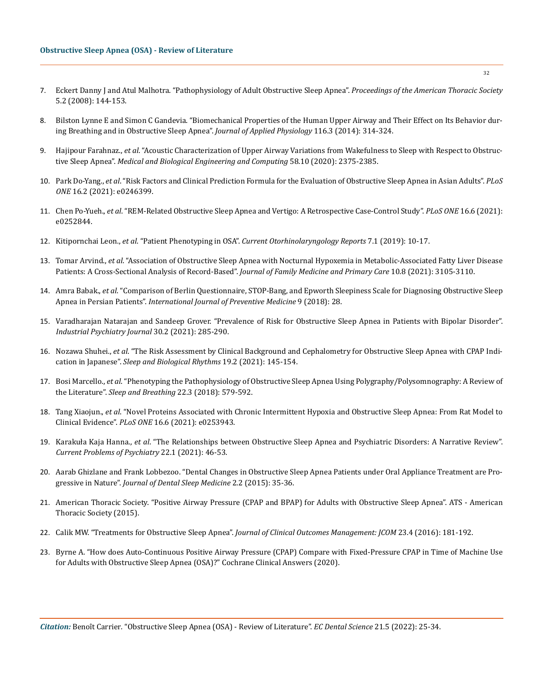- 7. [Eckert Danny J and Atul Malhotra. "Pathophysiology of Adult Obstructive Sleep Apnea".](https://pubmed.ncbi.nlm.nih.gov/18250206/) *Proceedings of the American Thoracic Society* [5.2 \(2008\): 144-153.](https://pubmed.ncbi.nlm.nih.gov/18250206/)
- 8. [Bilston Lynne E and Simon C Gandevia. "Biomechanical Properties of the Human Upper Airway and Their Effect on Its Behavior dur](https://pubmed.ncbi.nlm.nih.gov/23823151/)[ing Breathing and in Obstructive Sleep Apnea".](https://pubmed.ncbi.nlm.nih.gov/23823151/) *Journal of Applied Physiology* 116.3 (2014): 314-324.
- 9. Hajipour Farahnaz., *et al*[. "Acoustic Characterization of Upper Airway Variations from Wakefulness to Sleep with Respect to Obstruc](https://pubmed.ncbi.nlm.nih.gov/32719933/)tive Sleep Apnea". *[Medical and Biological Engineering and Computing](https://pubmed.ncbi.nlm.nih.gov/32719933/)* 58.10 (2020): 2375-2385.
- 10. Park Do-Yang., *et al*[. "Risk Factors and Clinical Prediction Formula for the Evaluation of Obstructive Sleep Apnea in Asian Adults".](https://pubmed.ncbi.nlm.nih.gov/33529265/) *PLoS ONE* [16.2 \(2021\): e0246399.](https://pubmed.ncbi.nlm.nih.gov/33529265/)
- 11. Chen Po-Yueh., *et al*[. "REM-Related Obstructive Sleep Apnea and Vertigo: A Retrospective Case-Control Study".](https://pubmed.ncbi.nlm.nih.gov/34115792/) *PLoS ONE* 16.6 (2021): [e0252844.](https://pubmed.ncbi.nlm.nih.gov/34115792/)
- 12. Kitipornchai Leon., *et al*. "Patient Phenotyping in OSA". *[Current Otorhinolaryngology Reports](https://www.researchgate.net/publication/330338461_Patient_Phenotyping_in_OSA)* 7.1 (2019): 10-17.
- 13. Tomar Arvind., *et al*[. "Association of Obstructive Sleep Apnea with Nocturnal Hypoxemia in Metabolic-Associated Fatty Liver Disease](https://pubmed.ncbi.nlm.nih.gov/34660454/)  Patients: A Cross-Sectional Analysis of Record-Based". *[Journal of Family Medicine and Primary Care](https://pubmed.ncbi.nlm.nih.gov/34660454/)* 10.8 (2021): 3105-3110.
- 14. Amra Babak., *et al*[. "Comparison of Berlin Questionnaire, STOP-Bang, and Epworth Sleepiness Scale for Diagnosing Obstructive Sleep](https://pubmed.ncbi.nlm.nih.gov/29619152/)  Apnea in Persian Patients". *[International Journal of Preventive Medicine](https://pubmed.ncbi.nlm.nih.gov/29619152/)* 9 (2018): 28.
- 15. [Varadharajan Natarajan and Sandeep Grover. "Prevalence of Risk for Obstructive Sleep Apnea in Patients with Bipolar Disorder".](https://pubmed.ncbi.nlm.nih.gov/35017813/)  *[Industrial Psychiatry Journal](https://pubmed.ncbi.nlm.nih.gov/35017813/)* 30.2 (2021): 285-290.
- 16. Nozawa Shuhei., *et al*[. "The Risk Assessment by Clinical Background and Cephalometry for Obstructive Sleep Apnea with CPAP Indi](https://www.researchgate.net/publication/348275502_The_risk_assessment_by_clinical_background_and_cephalometry_for_obstructive_sleep_apnea_with_CPAP_indication_in_Japanese)cation in Japanese". *[Sleep and Biological Rhythms](https://www.researchgate.net/publication/348275502_The_risk_assessment_by_clinical_background_and_cephalometry_for_obstructive_sleep_apnea_with_CPAP_indication_in_Japanese)* 19.2 (2021): 145-154.
- 17. Bosi Marcello., *et al*[. "Phenotyping the Pathophysiology of Obstructive Sleep Apnea Using Polygraphy/Polysomnography: A Review of](https://pubmed.ncbi.nlm.nih.gov/29318567/)  the Literature". *[Sleep and Breathing](https://pubmed.ncbi.nlm.nih.gov/29318567/)* 22.3 (2018): 579-592.
- 18. Tang Xiaojun., *et al*[. "Novel Proteins Associated with Chronic Intermittent Hypoxia and Obstructive Sleep Apnea: From Rat Model to](https://pubmed.ncbi.nlm.nih.gov/34185819/)  Clinical Evidence". *PLoS ONE* [16.6 \(2021\): e0253943.](https://pubmed.ncbi.nlm.nih.gov/34185819/)
- 19. Karakuła Kaja Hanna., *et al*[. "The Relationships between Obstructive Sleep Apnea and Psychiatric Disorders: A Narrative Review".](https://www.researchgate.net/publication/355026805_The_relationships_between_obstructive_sleep_apnea_and_psychiatric_disorders_a_narrative_review)  *[Current Problems of Psychiatry](https://www.researchgate.net/publication/355026805_The_relationships_between_obstructive_sleep_apnea_and_psychiatric_disorders_a_narrative_review)* 22.1 (2021): 46-53.
- 20. [Aarab Ghizlane and Frank Lobbezoo. "Dental Changes in Obstructive Sleep Apnea Patients under Oral Appliance Treatment are Pro](https://www.aadsm.org/docs/JDSM.02.02.35.pdf)gressive in Nature". *[Journal of Dental Sleep Medicine](https://www.aadsm.org/docs/JDSM.02.02.35.pdf)* 2.2 (2015): 35-36.
- 21. [American Thoracic Society. "Positive Airway Pressure \(CPAP and BPAP\) for Adults with Obstructive Sleep Apnea". ATS American](http://www.thoracic.org/patients/patient-resources/resources/cpap-for-osa.pdf)  [Thoracic Society \(2015\).](http://www.thoracic.org/patients/patient-resources/resources/cpap-for-osa.pdf)
- 22. Calik MW. "Treatments for Obstructive Sleep Apnea". *[Journal of Clinical Outcomes Management: JCOM](http://www.researchgate.net/publication/301680662_Treatments_for_Obstructive_Sleep_Apnea)* 23.4 (2016): 181-192.
- 23. [Byrne A. "How does Auto-Continuous Positive Airway Pressure \(CPAP\) Compare with Fixed-Pressure CPAP in Time of Machine Use](https://www.cochrane.org/CD003531/AIRWAYS_how-does-changing-pressure-continuous-positive-airway-pressure-machines-increase-their-usage-adults)  [for Adults with Obstructive Sleep Apnea \(OSA\)?" Cochrane Clinical Answers \(2020\).](https://www.cochrane.org/CD003531/AIRWAYS_how-does-changing-pressure-continuous-positive-airway-pressure-machines-increase-their-usage-adults)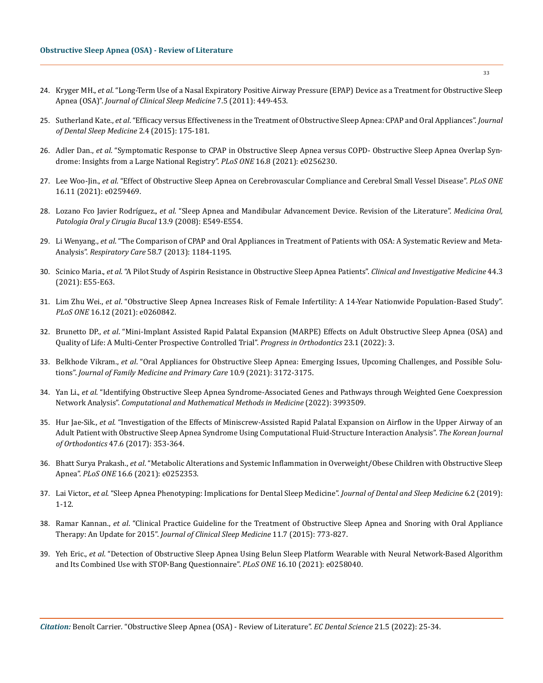- 24. Kryger MH., *et al*[. "Long-Term Use of a Nasal Expiratory Positive Airway Pressure \(EPAP\) Device as a Treatment for Obstructive Sleep](https://pubmed.ncbi.nlm.nih.gov/22003339/)  Apnea (OSA)". *[Journal of Clinical Sleep Medicine](https://pubmed.ncbi.nlm.nih.gov/22003339/)* 7.5 (2011): 449-453.
- 25. Sutherland Kate., *et al*[. "Efficacy versus Effectiveness in the Treatment of Obstructive Sleep Apnea: CPAP and Oral Appliances".](https://aadsm.org/docs/JDSM.2.4.175.pdf) *Journal [of Dental Sleep Medicine](https://aadsm.org/docs/JDSM.2.4.175.pdf)* 2.4 (2015): 175-181.
- 26. Adler Dan., *et al*[. "Symptomatic Response to CPAP in Obstructive Sleep Apnea versus COPD- Obstructive Sleep Apnea Overlap Syn](https://pubmed.ncbi.nlm.nih.gov/34383866/)[drome: Insights from a Large National Registry".](https://pubmed.ncbi.nlm.nih.gov/34383866/) *PLoS ONE* 16.8 (2021): e0256230.
- 27. Lee Woo-Jin., *et al*[. "Effect of Obstructive Sleep Apnea on Cerebrovascular Compliance and Cerebral Small Vessel Disease".](https://pubmed.ncbi.nlm.nih.gov/34767578/) *PLoS ONE* [16.11 \(2021\): e0259469.](https://pubmed.ncbi.nlm.nih.gov/34767578/)
- 28. Lozano Fco Javier Rodríguez., *et al*[. "Sleep Apnea and Mandibular Advancement Device. Revision of the Literature".](https://roderic.uv.es/bitstream/handle/10550/61105/5983384.pdf?sequence=1) *Medicina Oral, [Patologia Oral y Cirugia Bucal](https://roderic.uv.es/bitstream/handle/10550/61105/5983384.pdf?sequence=1)* 13.9 (2008): E549-E554.
- 29. Li Wenyang., *et al*[. "The Comparison of CPAP and Oral Appliances in Treatment of Patients with OSA: A Systematic Review and Meta-](https://pubmed.ncbi.nlm.nih.gov/23287015/)Analysis". *Respiratory Care* [58.7 \(2013\): 1184-1195.](https://pubmed.ncbi.nlm.nih.gov/23287015/)
- 30. Scinico Maria., *et al*[. "A Pilot Study of Aspirin Resistance in Obstructive Sleep Apnea Patients".](https://pubmed.ncbi.nlm.nih.gov/34600460/) *Clinical and Investigative Medicine* 44.3 [\(2021\): E55-E63.](https://pubmed.ncbi.nlm.nih.gov/34600460/)
- 31. Lim Zhu Wei., *et al*[. "Obstructive Sleep Apnea Increases Risk of Female Infertility: A 14-Year Nationwide Population-Based Study".](https://pubmed.ncbi.nlm.nih.gov/34910749/)  *PLoS ONE* [16.12 \(2021\): e0260842.](https://pubmed.ncbi.nlm.nih.gov/34910749/)
- 32. Brunetto DP., *et al*[. "Mini-Implant Assisted Rapid Palatal Expansion \(MARPE\) Effects on Adult Obstructive Sleep Apnea \(OSA\) and](https://pubmed.ncbi.nlm.nih.gov/35102477/)  [Quality of Life: A Multi-Center Prospective Controlled Trial".](https://pubmed.ncbi.nlm.nih.gov/35102477/) *Progress in Orthodontics* 23.1 (2022): 3.
- 33. Belkhode Vikram., *et al*[. "Oral Appliances for Obstructive Sleep Apnea: Emerging Issues, Upcoming Challenges, and Possible Solu](https://pubmed.ncbi.nlm.nih.gov/34760725/)tions". *[Journal of Family Medicine and Primary Care](https://pubmed.ncbi.nlm.nih.gov/34760725/)* 10.9 (2021): 3172-3175.
- 34. Yan Li., *et al*[. "Identifying Obstructive Sleep Apnea Syndrome-Associated Genes and Pathways through Weighted Gene Coexpression](https://pubmed.ncbi.nlm.nih.gov/35132330/)  Network Analysis". *[Computational and Mathematical Methods in Medicine](https://pubmed.ncbi.nlm.nih.gov/35132330/)* (2022): 3993509.
- 35. Hur Jae-Sik., *et al*[. "Investigation of the Effects of Miniscrew-Assisted Rapid Palatal Expansion on Airflow in the Upper Airway of an](https://pubmed.ncbi.nlm.nih.gov/29090123/)  [Adult Patient with Obstructive Sleep Apnea Syndrome Using Computational Fluid-Structure Interaction Analysis".](https://pubmed.ncbi.nlm.nih.gov/29090123/) *The Korean Journal of Orthodontics* [47.6 \(2017\): 353-364.](https://pubmed.ncbi.nlm.nih.gov/29090123/)
- 36. Bhatt Surya Prakash., *et al*[. "Metabolic Alterations and Systemic Inflammation in Overweight/Obese Children with Obstructive Sleep](https://pubmed.ncbi.nlm.nih.gov/34086720/)  Apnea". *PLoS ONE* [16.6 \(2021\): e0252353.](https://pubmed.ncbi.nlm.nih.gov/34086720/)
- 37. Lai Victor., *et al*[. "Sleep Apnea Phenotyping: Implications for Dental Sleep Medicine".](https://www.aadsm.org/docs/jdsm.4.10.19.r1.pdf) *Journal of Dental and Sleep Medicine* 6.2 (2019): [1-12.](https://www.aadsm.org/docs/jdsm.4.10.19.r1.pdf)
- 38. Ramar Kannan., *et al*[. "Clinical Practice Guideline for the Treatment of Obstructive Sleep Apnea and Snoring with Oral Appliance](https://pubmed.ncbi.nlm.nih.gov/26094920/)  Therapy: An Update for 2015". *[Journal of Clinical Sleep Medicine](https://pubmed.ncbi.nlm.nih.gov/26094920/)* 11.7 (2015): 773-827.
- 39. Yeh Eric., *et al*[. "Detection of Obstructive Sleep Apnea Using Belun Sleep Platform Wearable with Neural Network-Based Algorithm](https://pubmed.ncbi.nlm.nih.gov/34634070/)  [and Its Combined Use with STOP-Bang Questionnaire".](https://pubmed.ncbi.nlm.nih.gov/34634070/) *PLoS ONE* 16.10 (2021): e0258040.